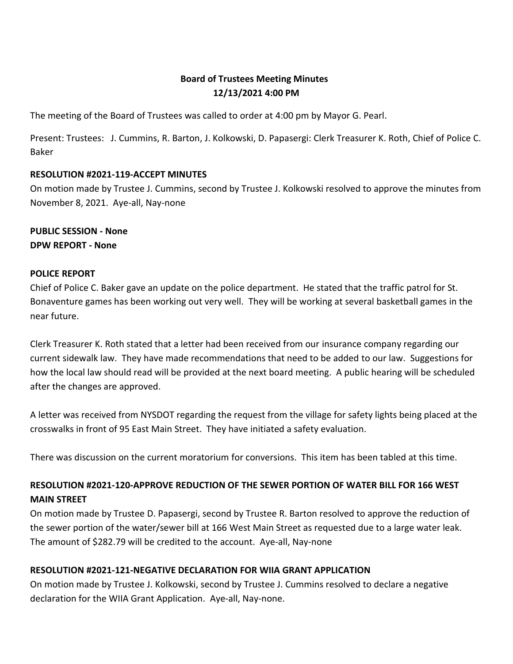# **Board of Trustees Meeting Minutes 12/13/2021 4:00 PM**

The meeting of the Board of Trustees was called to order at 4:00 pm by Mayor G. Pearl.

Present: Trustees: J. Cummins, R. Barton, J. Kolkowski, D. Papasergi: Clerk Treasurer K. Roth, Chief of Police C. Baker

#### **RESOLUTION #2021-119-ACCEPT MINUTES**

On motion made by Trustee J. Cummins, second by Trustee J. Kolkowski resolved to approve the minutes from November 8, 2021. Aye-all, Nay-none

**PUBLIC SESSION - None DPW REPORT - None**

#### **POLICE REPORT**

Chief of Police C. Baker gave an update on the police department. He stated that the traffic patrol for St. Bonaventure games has been working out very well. They will be working at several basketball games in the near future.

Clerk Treasurer K. Roth stated that a letter had been received from our insurance company regarding our current sidewalk law. They have made recommendations that need to be added to our law. Suggestions for how the local law should read will be provided at the next board meeting. A public hearing will be scheduled after the changes are approved.

A letter was received from NYSDOT regarding the request from the village for safety lights being placed at the crosswalks in front of 95 East Main Street. They have initiated a safety evaluation.

There was discussion on the current moratorium for conversions. This item has been tabled at this time.

# **RESOLUTION #2021-120-APPROVE REDUCTION OF THE SEWER PORTION OF WATER BILL FOR 166 WEST MAIN STREET**

On motion made by Trustee D. Papasergi, second by Trustee R. Barton resolved to approve the reduction of the sewer portion of the water/sewer bill at 166 West Main Street as requested due to a large water leak. The amount of \$282.79 will be credited to the account. Aye-all, Nay-none

## **RESOLUTION #2021-121-NEGATIVE DECLARATION FOR WIIA GRANT APPLICATION**

On motion made by Trustee J. Kolkowski, second by Trustee J. Cummins resolved to declare a negative declaration for the WIIA Grant Application. Aye-all, Nay-none.